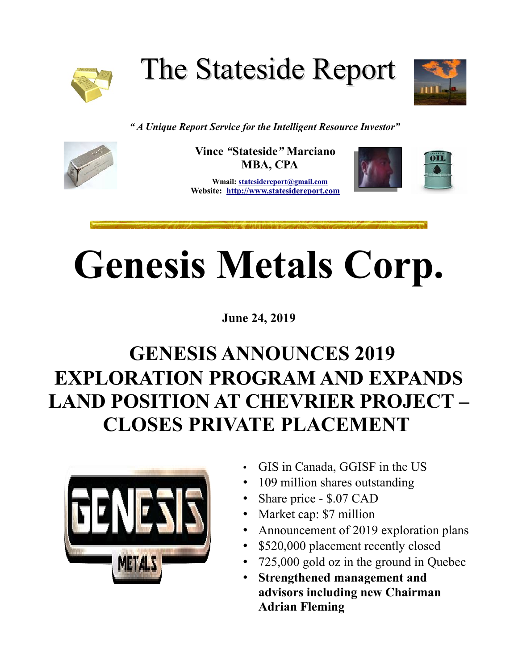

The Stateside Report



*" A Unique Report Service for the Intelligent Resource Investor"*



**Vince** *"***Stateside***"* **Marciano MBA, CPA**

 **Wmail: [st](mailto:stateside@statesidereport.com)atesidereport@gmail.com Website: [http://www.statesidereport.com](http://www.statesidereport.com/)**

## **Genesis Metals Corp.**

**June 24, 2019**

## **GENESIS ANNOUNCES 2019 EXPLORATION PROGRAM AND EXPANDS LAND POSITION AT CHEVRIER PROJECT – CLOSES PRIVATE PLACEMENT**



- GIS in Canada, GGISF in the US
- 109 million shares outstanding
- Share price \$.07 CAD
- Market cap: \$7 million
- Announcement of 2019 exploration plans
- \$520,000 placement recently closed
- 725,000 gold oz in the ground in Quebec
- **Strengthened management and advisors including new Chairman Adrian Fleming**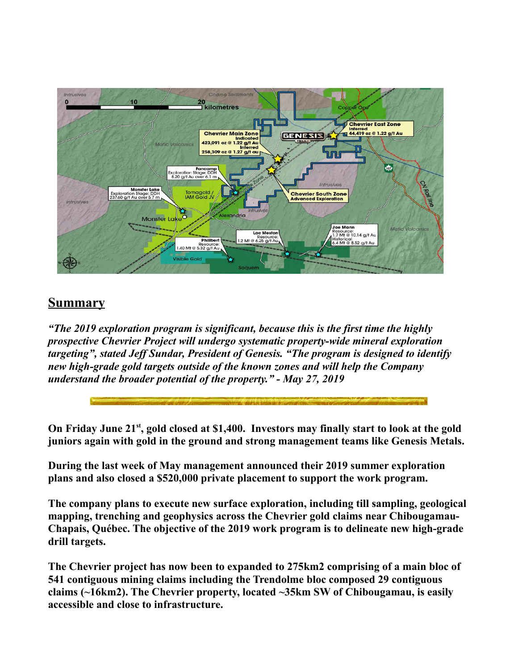

## **Summary**

*"The 2019 exploration program is significant, because this is the first time the highly prospective Chevrier Project will undergo systematic property-wide mineral exploration targeting", stated Jeff Sundar, President of Genesis. "The program is designed to identify new high-grade gold targets outside of the known zones and will help the Company understand the broader potential of the property." - May 27, 2019*

**On Friday June 21st, gold closed at \$1,400. Investors may finally start to look at the gold juniors again with gold in the ground and strong management teams like Genesis Metals.**

**During the last week of May management announced their 2019 summer exploration plans and also closed a \$520,000 private placement to support the work program.** 

**The company plans to execute new surface exploration, including till sampling, geological mapping, trenching and geophysics across the Chevrier gold claims near Chibougamau-Chapais, Québec. The objective of the 2019 work program is to delineate new high-grade drill targets.**

**The Chevrier project has now been to expanded to 275km2 comprising of a main bloc of 541 contiguous mining claims including the Trendolme bloc composed 29 contiguous claims (~16km2). The Chevrier property, located ~35km SW of Chibougamau, is easily accessible and close to infrastructure.**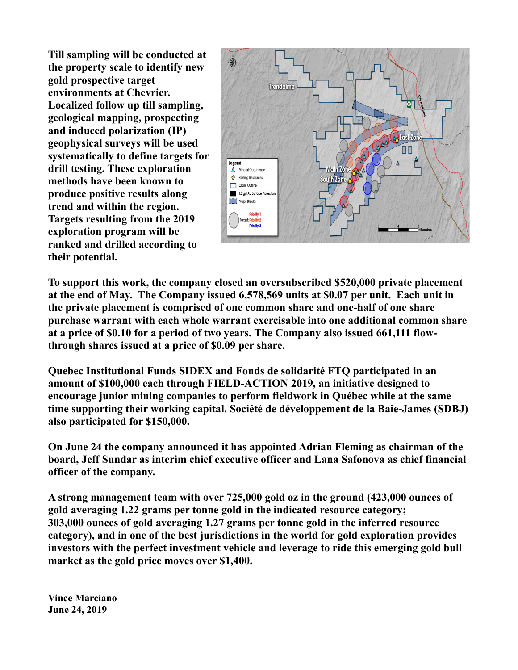**Till sampling will be conducted at the property scale to identify new gold prospective target environments at Chevrier. Localized follow up till sampling, geological mapping, prospecting and induced polarization (IP) geophysical surveys will be used systematically to define targets for drill testing. These exploration methods have been known to produce positive results along trend and within the region. Targets resulting from the 2019 exploration program will be ranked and drilled according to their potential.**



**To support this work, the company closed an oversubscribed \$520,000 private placement at the end of May. The Company issued 6,578,569 units at \$0.07 per unit. Each unit in the private placement is comprised of one common share and one-half of one share purchase warrant with each whole warrant exercisable into one additional common share at a price of \$0.10 for a period of two years. The Company also issued 661,111 flowthrough shares issued at a price of \$0.09 per share.**

**Quebec Institutional Funds SIDEX and Fonds de solidarité FTQ participated in an amount of \$100,000 each through FIELD-ACTION 2019, an initiative designed to encourage junior mining companies to perform fieldwork in Québec while at the same time supporting their working capital. Société de développement de la Baie-James (SDBJ) also participated for \$150,000.**

**On June 24 the company announced it has appointed Adrian Fleming as chairman of the board, Jeff Sundar as interim chief executive officer and Lana Safonova as chief financial officer of the company.**

**A strong management team with over 725,000 gold oz in the ground (423,000 ounces of gold averaging 1.22 grams per tonne gold in the indicated resource category; 303,000 ounces of gold averaging 1.27 grams per tonne gold in the inferred resource category), and in one of the best jurisdictions in the world for gold exploration provides investors with the perfect investment vehicle and leverage to ride this emerging gold bull market as the gold price moves over \$1,400.**

**Vince Marciano June 24, 2019**